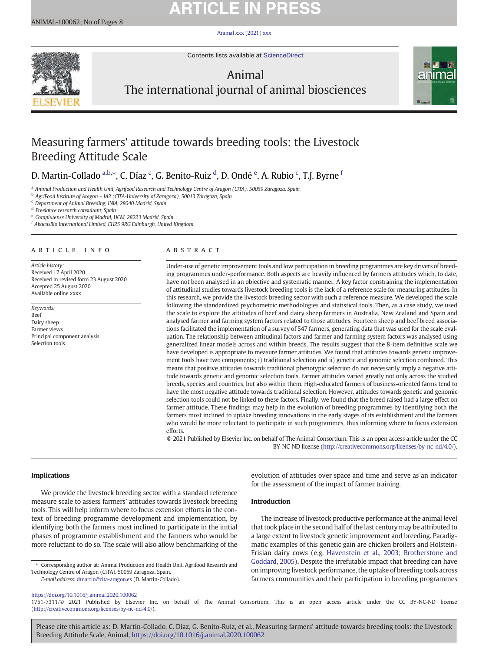## **ARTICLE IN PRESS**

ANIMAL-100062; No of Pages 8

[Animal xxx \(2021\) xxx](https://doi.org/10.1016/j.animal.2020.100062)



Contents lists available at [ScienceDirect](http://www.sciencedirect.com/science/journal/)

## Animal



# The international journal of animal biosciences

## Measuring farmers' attitude towards breeding tools: the Livestock Breeding Attitude Scale

D. Martin-Collado <sup>a,b,\*</sup>, C. Díaz <sup>c</sup>, G. Benito-Ruiz <sup>d</sup>, D. Ondé <sup>e</sup>, A. Rubio <sup>c</sup>, T.J. Byrne <sup>f</sup>

a Animal Production and Health Unit, Agrifood Research and Technology Centre of Aragon (CITA), 50059 Zaragoza, Spain

<sup>b</sup> AgriFood Institute of Aragon – IA2 (CITA-University of Zaragoza), 50013 Zaragoza, Spain

<sup>c</sup> Department of Animal Breeding, INIA, 28040 Madrid, Spain

<sup>d</sup> Freelance research consultant, Spain

<sup>e</sup> Complutense University of Madrid, UCM, 28223 Madrid, Spain

<sup>f</sup> AbacusBio International Limited, EH25 9RG Edinburgh, United Kingdom

## article info abstract

Article history: Received 17 April 2020 Received in revised form 23 August 2020 Accepted 25 August 2020 Available online xxxx

Keywords: Beef Dairy sheep Farmer views Principal component analysis Selection tools

Under-use of genetic improvement tools and low participation in breeding programmes are key drivers of breeding programmes under-performance. Both aspects are heavily influenced by farmers attitudes which, to date, have not been analysed in an objective and systematic manner. A key factor constraining the implementation of attitudinal studies towards livestock breeding tools is the lack of a reference scale for measuring attitudes. In this research, we provide the livestock breeding sector with such a reference measure. We developed the scale following the standardized psychometric methodologies and statistical tools. Then, as a case study, we used the scale to explore the attitudes of beef and dairy sheep farmers in Australia, New Zealand and Spain and analysed farmer and farming system factors related to those attitudes. Fourteen sheep and beef breed associations facilitated the implementation of a survey of 547 farmers, generating data that was used for the scale evaluation. The relationship between attitudinal factors and farmer and farming system factors was analysed using generalized linear models across and within breeds. The results suggest that the 8-item definitive scale we have developed is appropriate to measure farmer attitudes. We found that attitudes towards genetic improvement tools have two components; i) traditional selection and ii) genetic and genomic selection combined. This means that positive attitudes towards traditional phenotypic selection do not necessarily imply a negative attitude towards genetic and genomic selection tools. Farmer attitudes varied greatly not only across the studied breeds, species and countries, but also within them. High-educated farmers of business-oriented farms tend to have the most negative attitude towards traditional selection. However, attitudes towards genetic and genomic selection tools could not be linked to these factors. Finally, we found that the breed raised had a large effect on farmer attitude. These findings may help in the evolution of breeding programmes by identifying both the farmers most inclined to uptake breeding innovations in the early stages of its establishment and the farmers who would be more reluctant to participate in such programmes, thus informing where to focus extension efforts.

© 2021 Published by Elsevier Inc. on behalf of The Animal Consortium. This is an open access article under the CC BY-NC-ND license ([http://creativecommons.org/licenses/by-nc-nd/4.0/\)](http://creativecommons.org/licenses/by-nc-nd/4.0/).

#### Implications

We provide the livestock breeding sector with a standard reference measure scale to assess farmers' attitudes towards livestock breeding tools. This will help inform where to focus extension efforts in the context of breeding programme development and implementation, by identifying both the farmers most inclined to participate in the initial phases of programme establishment and the farmers who would be more reluctant to do so. The scale will also allow benchmarking of the

⁎ Corresponding author at: Animal Production and Health Unit, Agrifood Research and Technology Centre of Aragon (CITA), 50059 Zaragoza, Spain.

E-mail address: [dmartin@cita-aragon.es](mailto:dmartin@cita-aragon.es) (D. Martin-Collado).

evolution of attitudes over space and time and serve as an indicator for the assessment of the impact of farmer training.

### Introduction

The increase of livestock productive performance at the animal level that took place in the second half of the last century may be attributed to a large extent to livestock genetic improvement and breeding. Paradigmatic examples of this genetic gain are chicken broilers and Holstein-Frisian dairy cows (e.g. [Havenstein et al., 2003; Brotherstone and](#page-7-0) [Goddard, 2005\)](#page-7-0). Despite the irrefutable impact that breeding can have on improving livestock performance, the uptake of breeding tools across farmers communities and their participation in breeding programmes

<https://doi.org/10.1016/j.animal.2020.100062>

1751-7311/© 2021 Published by Elsevier Inc. on behalf of The Animal Consortium. This is an open access article under the CC BY-NC-ND license [\(http://creativecommons.org/licenses/by-nc-nd/4.0/\)](http://creativecommons.org/licenses/by-nc-nd/4.0/).

Please cite this article as: D. Martin-Collado, C. Díaz, G. Benito-Ruiz, et al., Measuring farmers' attitude towards breeding tools: the Livestock Breeding Attitude Scale, Animal, <https://doi.org/10.1016/j.animal.2020.100062>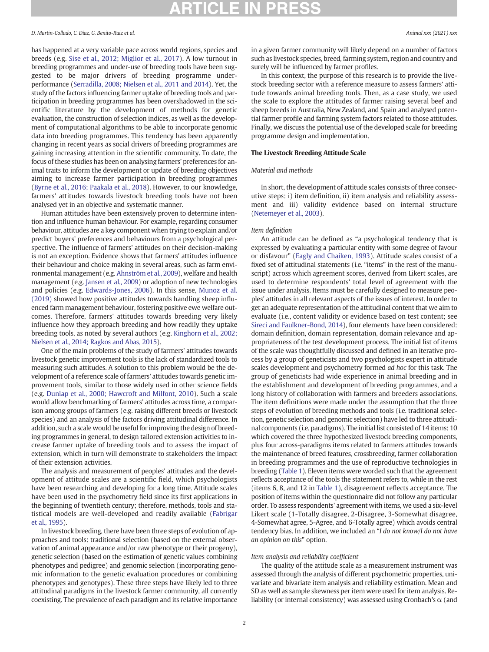has happened at a very variable pace across world regions, species and breeds (e.g. [Sise et al., 2012; Miglior et al., 2017\)](#page-7-0). A low turnout in breeding programmes and under-use of breeding tools have been suggested to be major drivers of breeding programme underperformance ([Serradilla, 2008; Nielsen et al., 2011 and 2014](#page-7-0)). Yet, the study of the factors influencing farmer uptake of breeding tools and participation in breeding programmes has been overshadowed in the scientific literature by the development of methods for genetic evaluation, the construction of selection indices, as well as the development of computational algorithms to be able to incorporate genomic data into breeding programmes. This tendency has been apparently changing in recent years as social drivers of breeding programmes are gaining increasing attention in the scientific community. To date, the focus of these studies has been on analysing farmers' preferences for animal traits to inform the development or update of breeding objectives aiming to increase farmer participation in breeding programmes ([Byrne et al., 2016; Paakala et al., 2018\)](#page-7-0). However, to our knowledge, farmers' attitudes towards livestock breeding tools have not been analysed yet in an objective and systematic manner.

Human attitudes have been extensively proven to determine intention and influence human behaviour. For example, regarding consumer behaviour, attitudes are a key component when trying to explain and/or predict buyers' preferences and behaviours from a psychological perspective. The influence of farmers' attitudes on their decision-making is not an exception. Evidence shows that farmers' attitudes influence their behaviour and choice making in several areas, such as farm environmental management (e.g. [Ahnström et al., 2009\)](#page-7-0), welfare and health management (e.g. [Jansen et al., 2009](#page-7-0)) or adoption of new technologies and policies (e.g. [Edwards-Jones, 2006](#page-7-0)). In this sense, [Munoz et al.](#page-7-0) [\(2019\)](#page-7-0) showed how positive attitudes towards handling sheep influenced farm management behaviour, fostering positive ewe welfare outcomes. Therefore, farmers' attitudes towards breeding very likely influence how they approach breeding and how readily they uptake breeding tools, as noted by several authors (e.g. [Kinghorn et al., 2002;](#page-7-0) [Nielsen et al., 2014; Ragkos and Abas, 2015](#page-7-0)).

One of the main problems of the study of farmers' attitudes towards livestock genetic improvement tools is the lack of standardized tools to measuring such attitudes. A solution to this problem would be the development of a reference scale of farmers' attitudes towards genetic improvement tools, similar to those widely used in other science fields (e.g. [Dunlap et al., 2000; Hawcroft and Milfont, 2010](#page-7-0)). Such a scale would allow benchmarking of farmers' attitudes across time, a comparison among groups of farmers (e.g. raising different breeds or livestock species) and an analysis of the factors driving attitudinal difference. In addition, such a scale would be useful for improving the design of breeding programmes in general, to design tailored extension activities to increase farmer uptake of breeding tools and to assess the impact of extension, which in turn will demonstrate to stakeholders the impact of their extension activities.

The analysis and measurement of peoples' attitudes and the development of attitude scales are a scientific field, which psychologists have been researching and developing for a long time. Attitude scales have been used in the psychometry field since its first applications in the beginning of twentieth century; therefore, methods, tools and statistical models are well-developed and readily available [\(Fabrigar](#page-7-0) [et al., 1995\)](#page-7-0).

In livestock breeding, there have been three steps of evolution of approaches and tools: traditional selection (based on the external observation of animal appearance and/or raw phenotype or their progeny), genetic selection (based on the estimation of genetic values combining phenotypes and pedigree) and genomic selection (incorporating genomic information to the genetic evaluation procedures or combining phenotypes and genotypes). These three steps have likely led to three attitudinal paradigms in the livestock farmer community, all currently coexisting. The prevalence of each paradigm and its relative importance in a given farmer community will likely depend on a number of factors such as livestock species, breed, farming system, region and country and surely will be influenced by farmer profiles.

In this context, the purpose of this research is to provide the livestock breeding sector with a reference measure to assess farmers' attitude towards animal breeding tools. Then, as a case study, we used the scale to explore the attitudes of farmer raising several beef and sheep breeds in Australia, New Zealand, and Spain and analysed potential farmer profile and farming system factors related to those attitudes. Finally, we discuss the potential use of the developed scale for breeding programme design and implementation.

#### The Livestock Breeding Attitude Scale

## Material and methods

In short, the development of attitude scales consists of three consecutive steps: i) item definition, ii) item analysis and reliability assessment and iii) validity evidence based on internal structure ([Netemeyer et al., 2003](#page-7-0)).

#### Item definition

An attitude can be defined as "a psychological tendency that is expressed by evaluating a particular entity with some degree of favour or disfavour" [\(Eagly and Chaiken, 1993](#page-7-0)). Attitude scales consist of a fixed set of attitudinal statements (i.e. "items" in the rest of the manuscript) across which agreement scores, derived from Likert scales, are used to determine respondents' total level of agreement with the issue under analysis. Items must be carefully designed to measure peoples' attitudes in all relevant aspects of the issues of interest. In order to get an adequate representation of the attitudinal content that we aim to evaluate (i.e., content validity or evidence based on test content; see [Sireci and Faulkner-Bond, 2014\)](#page-7-0), four elements have been considered: domain definition, domain representation, domain relevance and appropriateness of the test development process. The initial list of items of the scale was thoughtfully discussed and defined in an iterative process by a group of geneticists and two psychologists expert in attitude scales development and psychometry formed ad hoc for this task. The group of geneticists had wide experience in animal breeding and in the establishment and development of breeding programmes, and a long history of collaboration with farmers and breeders associations. The item definitions were made under the assumption that the three steps of evolution of breeding methods and tools (i.e. traditional selection, genetic selection and genomic selection) have led to three attitudinal components (i.e. paradigms). The initial list consisted of 14 items: 10 which covered the three hypothesized livestock breeding components, plus four across-paradigms items related to farmers attitudes towards the maintenance of breed features, crossbreeding, farmer collaboration in breeding programmes and the use of reproductive technologies in breeding ([Table 1](#page-2-0)). Eleven items were worded such that the agreement reflects acceptance of the tools the statement refers to, while in the rest (items 6, 8, and 12 in [Table 1\)](#page-2-0), disagreement reflects acceptance. The position of items within the questionnaire did not follow any particular order. To assess respondents' agreement with items, we used a six-level Likert scale (1-Totally disagree, 2-Disagree, 3-Somewhat disagree, 4-Somewhat agree, 5-Agree, and 6-Totally agree) which avoids central tendency bias. In addition, we included an "I do not know/I do not have an opinion on this" option.

#### Item analysis and reliability coefficient

The quality of the attitude scale as a measurement instrument was assessed through the analysis of different psychometric properties, univariate and bivariate item analysis and reliability estimation. Mean and SD as well as sample skewness per item were used for item analysis. Reliability (or internal consistency) was assessed using Cronbach's  $\alpha$  (and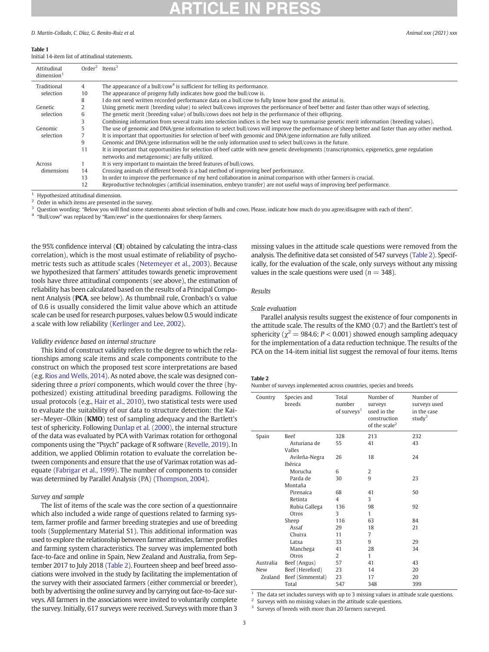#### <span id="page-2-0"></span>Table 1

### Initial 14-item list of attitudinal statements.

| Attitudinal<br>dimension <sup>1</sup> |    | $Order2$ Items <sup>3</sup>                                                                                                                    |
|---------------------------------------|----|------------------------------------------------------------------------------------------------------------------------------------------------|
| Traditional                           | 4  | The appearance of a bull/cow <sup>4</sup> is sufficient for telling its performance.                                                           |
| selection                             | 10 | The appearance of progeny fully indicates how good the bull/cow is.                                                                            |
|                                       | 8  | do not need written recorded performance data on a bull/cow to fully know how good the animal is.                                              |
| Genetic                               |    | Using genetic merit (breeding value) to select bull/cows improves the performance of beef better and faster than other ways of selecting.      |
| selection                             | 6  | The genetic merit (breeding value) of bulls/cows does not help in the performance of their offspring.                                          |
|                                       |    | Combining information from several traits into selection indices is the best way to summarise genetic merit information (breeding values).     |
| Genomic                               |    | The use of genomic and DNA/gene information to select bull/cows will improve the performance of sheep better and faster than any other method. |
| selection                             |    | It is important that opportunities for selection of beef with genomic and DNA/gene information are fully utilized.                             |
|                                       | 9  | Genomic and DNA/gene information will be the only information used to select bull/cows in the future.                                          |
|                                       | 11 | It is important that opportunities for selection of beef cattle with new genetic developments (transcriptomics, epigenetics, gene regulation   |
|                                       |    | networks and metagenomic) are fully utilized.                                                                                                  |
| Across                                |    | It is very important to maintain the breed features of bull/cows.                                                                              |
| dimensions                            | 14 | Crossing animals of different breeds is a bad method of improving beef performance.                                                            |
|                                       | 13 | In order to improve the performance of my herd collaboration in animal comparison with other farmers is crucial.                               |
|                                       | 12 | Reproductive technologies (artificial insemination, embryo transfer) are not useful ways of improving beef performance.                        |

Hypothesized attitudinal dimension.

Order in which items are presented in the survey.

Question wording: "Below you will find some statements about selection of bulls and cows. Please, indicate how much do you agree/disagree with each of them".

<sup>4</sup> "Bull/cow" was replaced by "Ram/ewe" in the questionnaires for sheep farmers.

the 95% confidence interval (CI) obtained by calculating the intra-class correlation), which is the most usual estimate of reliability of psychometric tests such as attitude scales [\(Netemeyer et al., 2003\)](#page-7-0). Because we hypothesized that farmers' attitudes towards genetic improvement tools have three attitudinal components (see above), the estimation of reliability has been calculated based on the results of a Principal Component Analysis (PCA, see below). As thumbnail rule, Cronbach's α value of 0.6 is usually considered the limit value above which an attitude scale can be used for research purposes, values below 0.5 would indicate a scale with low reliability ([Kerlinger and Lee, 2002\)](#page-7-0).

#### Validity evidence based on internal structure

This kind of construct validity refers to the degree to which the relationships among scale items and scale components contribute to the construct on which the proposed test score interpretations are based (e.g. [Rios and Wells, 2014\)](#page-7-0). As noted above, the scale was designed considering three a priori components, which would cover the three (hypothesized) existing attitudinal breeding paradigms. Following the usual protocols (e.g., [Hair et al., 2010](#page-7-0)), two statistical tests were used to evaluate the suitability of our data to structure detection: the Kaiser-Meyer-Olkin (KMO) test of sampling adequacy and the Bartlett's test of sphericity. Following [Dunlap et al. \(2000\)](#page-7-0), the internal structure of the data was evaluated by PCA with Varimax rotation for orthogonal components using the "Psych" package of R software [\(Revelle, 2019](#page-7-0)). In addition, we applied Oblimin rotation to evaluate the correlation between components and ensure that the use of Varimax rotation was adequate [\(Fabrigar et al., 1999](#page-7-0)). The number of components to consider was determined by Parallel Analysis (PA) [\(Thompson, 2004](#page-7-0)).

#### Survey and sample

The list of items of the scale was the core section of a questionnaire which also included a wide range of questions related to farming system, farmer profile and farmer breeding strategies and use of breeding tools (Supplementary Material S1). This additional information was used to explore the relationship between farmer attitudes, farmer profiles and farming system characteristics. The survey was implemented both face-to-face and online in Spain, New Zealand and Australia, from September 2017 to July 2018 (Table 2). Fourteen sheep and beef breed associations were involved in the study by facilitating the implementation of the survey with their associated farmers (either commercial or breeder), both by advertising the online survey and by carrying out face-to-face surveys. All farmers in the associations were invited to voluntarily complete the survey. Initially, 617 surveys were received. Surveys with more than 3

missing values in the attitude scale questions were removed from the analysis. The definitive data set consisted of 547 surveys (Table 2). Specifically, for the evaluation of the scale, only surveys without any missing values in the scale questions were used ( $n = 348$ ).

#### Results

#### Scale evaluation

Parallel analysis results suggest the existence of four components in the attitude scale. The results of the KMO (0.7) and the Bartlett's test of sphericity ( $\chi^2$  = 984.6; P < 0.001) showed enough sampling adequacy for the implementation of a data reduction technique. The results of the PCA on the 14-item initial list suggest the removal of four items. Items

#### Table 2

Number of surveys implemented across countries, species and breeds.

| Country   | Species and<br>breeds | Total<br>number<br>of surveys <sup>1</sup> | Number of<br>surveys<br>used in the<br>construction<br>of the scale <sup>2</sup> | Number of<br>surveys used<br>in the case<br>study <sup>3</sup> |
|-----------|-----------------------|--------------------------------------------|----------------------------------------------------------------------------------|----------------------------------------------------------------|
| Spain     | <b>Beef</b>           | 328                                        | 213                                                                              | 232                                                            |
|           | Asturiana de          | 55                                         | 41                                                                               | 43                                                             |
|           | Valles                |                                            |                                                                                  |                                                                |
|           | Avileña-Negra         | 26                                         | 18                                                                               | 24                                                             |
|           | Ibérica               |                                            |                                                                                  |                                                                |
|           | Morucha               | 6                                          | 2                                                                                |                                                                |
|           | Parda de              | 30                                         | 9                                                                                | 23                                                             |
|           | Montaña               |                                            |                                                                                  |                                                                |
|           | Pirenaica             | 68                                         | 41                                                                               | 50                                                             |
|           | Retinta               | 4                                          | 3                                                                                |                                                                |
|           | Rubia Gallega         | 136                                        | 98                                                                               | 92                                                             |
|           | Otros                 | 3                                          | 1                                                                                |                                                                |
|           | Sheep                 | 116                                        | 63                                                                               | 84                                                             |
|           | Assaf                 | 29                                         | 18                                                                               | 21                                                             |
|           | Churra                | 11                                         | 7                                                                                |                                                                |
|           | Latxa                 | 33                                         | 9                                                                                | 29                                                             |
|           | Manchega              | 41                                         | 28                                                                               | 34                                                             |
|           | Otros                 | 2                                          | 1                                                                                |                                                                |
| Australia | Beef (Angus)          | 57                                         | 41                                                                               | 43                                                             |
| New       | Beef (Hereford)       | 23                                         | 14                                                                               | 20                                                             |
| Zealand   | Beef (Simmental)      | 23                                         | 17                                                                               | 20                                                             |
|           | Total                 | 547                                        | 348                                                                              | 399                                                            |

The data set includes surveys with up to 3 missing values in attitude scale questions.

Surveys with no missing values in the attitude scale questions.

Surveys of breeds with more than 20 farmers surveyed.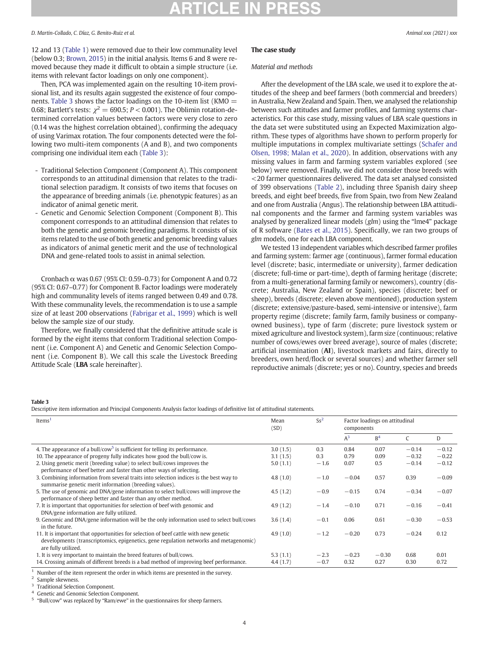12 and 13 [\(Table 1\)](#page-2-0) were removed due to their low communality level (below 0.3; [Brown, 2015\)](#page-7-0) in the initial analysis. Items 6 and 8 were removed because they made it difficult to obtain a simple structure (i.e. items with relevant factor loadings on only one component).

Then, PCA was implemented again on the resulting 10-item provisional list, and its results again suggested the existence of four components. Table 3 shows the factor loadings on the 10-item list (KMO  $=$ 0.68; Bartlett's tests:  $\chi^2 = 690.5$ ;  $P < 0.001$ ). The Oblimin rotation-determined correlation values between factors were very close to zero (0.14 was the highest correlation obtained), confirming the adequacy of using Varimax rotation. The four components detected were the following two multi-item components (A and B), and two components comprising one individual item each (Table 3):

- Traditional Selection Component (Component A). This component corresponds to an attitudinal dimension that relates to the traditional selection paradigm. It consists of two items that focuses on the appearance of breeding animals (i.e. phenotypic features) as an indicator of animal genetic merit.
- Genetic and Genomic Selection Component (Component B). This component corresponds to an attitudinal dimension that relates to both the genetic and genomic breeding paradigms. It consists of six items related to the use of both genetic and genomic breeding values as indicators of animal genetic merit and the use of technological DNA and gene-related tools to assist in animal selection.

Cronbach  $\alpha$  was 0.67 (95% CI: 0.59-0.73) for Component A and 0.72 (95% CI: 0.67–0.77) for Component B. Factor loadings were moderately high and communality levels of items ranged between 0.49 and 0.78. With these communality levels, the recommendation is to use a sample size of at least 200 observations ([Fabrigar et al., 1999](#page-7-0)) which is well below the sample size of our study.

Therefore, we finally considered that the definitive attitude scale is formed by the eight items that conform Traditional selection Component (i.e. Component A) and Genetic and Genomic Selection Component (i.e. Component B). We call this scale the Livestock Breeding Attitude Scale (LBA scale hereinafter).

## The case study

#### Material and methods

After the development of the LBA scale, we used it to explore the attitudes of the sheep and beef farmers (both commercial and breeders) in Australia, New Zealand and Spain. Then, we analysed the relationship between such attitudes and farmer profiles, and farming systems characteristics. For this case study, missing values of LBA scale questions in the data set were substituted using an Expected Maximization algorithm. These types of algorithms have shown to perform properly for multiple imputations in complex multivariate settings ([Schafer and](#page-7-0) [Olsen, 1998; Malan et al., 2020\)](#page-7-0). In addition, observations with any missing values in farm and farming system variables explored (see below) were removed. Finally, we did not consider those breeds with <20 farmer questionnaires delivered. The data set analysed consisted of 399 observations [\(Table 2\)](#page-2-0), including three Spanish dairy sheep breeds, and eight beef breeds, five from Spain, two from New Zealand and one from Australia (Angus). The relationship between LBA attitudinal components and the farmer and farming system variables was analysed by generalized linear models (glm) using the "lme4" package of R software [\(Bates et al., 2015\)](#page-7-0). Specifically, we ran two groups of glm models, one for each LBA component.

We tested 13 independent variables which described farmer profiles and farming system: farmer age (continuous), farmer formal education level (discrete; basic, intermediate or university), farmer dedication (discrete; full-time or part-time), depth of farming heritage (discrete; from a multi-generational farming family or newcomers), country (discrete; Australia, New Zealand or Spain), species (discrete; beef or sheep), breeds (discrete; eleven above mentioned), production system (discrete; extensive/pasture-based, semi-intensive or intensive), farm property regime (discrete; family farm, family business or companyowned business), type of farm (discrete; pure livestock system or mixed agriculture and livestock system), farm size (continuous; relative number of cows/ewes over breed average), source of males (discrete; artificial insemination (AI), livestock markets and fairs, directly to breeders, own herd/flock or several sources) and whether farmer sell reproductive animals (discrete; yes or no). Country, species and breeds

#### Table 3

Descriptive item information and Principal Components Analysis factor loadings of definitive list of attitudinal statements.

| Items <sup>1</sup>                                                                                                                                   | Mean<br>(SD) | $Ss^2$ | Factor loadings on attitudinal<br>components |                |         |         |
|------------------------------------------------------------------------------------------------------------------------------------------------------|--------------|--------|----------------------------------------------|----------------|---------|---------|
|                                                                                                                                                      |              |        | $A^3$                                        | B <sup>4</sup> | C       | D       |
| 4. The appearance of a bull/cow <sup>5</sup> is sufficient for telling its performance.                                                              | 3.0(1.5)     | 0.3    | 0.84                                         | 0.07           | $-0.14$ | $-0.12$ |
| 10. The appearance of progeny fully indicates how good the bull/cow is.                                                                              | 3.1(1.5)     | 0.3    | 0.79                                         | 0.09           | $-0.32$ | $-0.22$ |
| 2. Using genetic merit (breeding value) to select bull/cows improves the                                                                             | 5.0(1.1)     | $-1.6$ | 0.07                                         | 0.5            | $-0.14$ | $-0.12$ |
| performance of beef better and faster than other ways of selecting.                                                                                  |              |        |                                              |                |         |         |
| 3. Combining information from several traits into selection indices is the best way to<br>summarise genetic merit information (breeding values).     | 4.8(1.0)     | $-1.0$ | $-0.04$                                      | 0.57           | 0.39    | $-0.09$ |
| 5. The use of genomic and DNA/gene information to select bull/cows will improve the<br>performance of sheep better and faster than any other method. | 4.5(1.2)     | $-0.9$ | $-0.15$                                      | 0.74           | $-0.34$ | $-0.07$ |
| 7. It is important that opportunities for selection of beef with genomic and                                                                         | 4.9(1.2)     | $-1.4$ | $-0.10$                                      | 0.71           | $-0.16$ | $-0.41$ |
| DNA/gene information are fully utilized.                                                                                                             |              |        |                                              |                |         |         |
| 9. Genomic and DNA/gene information will be the only information used to select bull/cows<br>in the future.                                          | 3.6(1.4)     | $-0.1$ | 0.06                                         | 0.61           | $-0.30$ | $-0.53$ |
| 11. It is important that opportunities for selection of beef cattle with new genetic                                                                 | 4.9(1.0)     | $-1.2$ | $-0.20$                                      | 0.73           | $-0.24$ | 0.12    |
| developments (transcriptomics, epigenetics, gene regulation networks and metagenomic)<br>are fully utilized.                                         |              |        |                                              |                |         |         |
| 1. It is very important to maintain the breed features of bull/cows.                                                                                 | 5.3(1.1)     | $-2.3$ | $-0.23$                                      | $-0.30$        | 0.68    | 0.01    |
| 14. Crossing animals of different breeds is a bad method of improving beef performance.                                                              | 4.4(1.7)     | $-0.7$ | 0.32                                         | 0.27           | 0.30    | 0.72    |

Number of the item represent the order in which items are presented in the survey.

Sample skewness.

<sup>3</sup> Traditional Selection Component.

Genetic and Genomic Selection Component.

"Bull/cow" was replaced by "Ram/ewe" in the questionnaires for sheep farmers.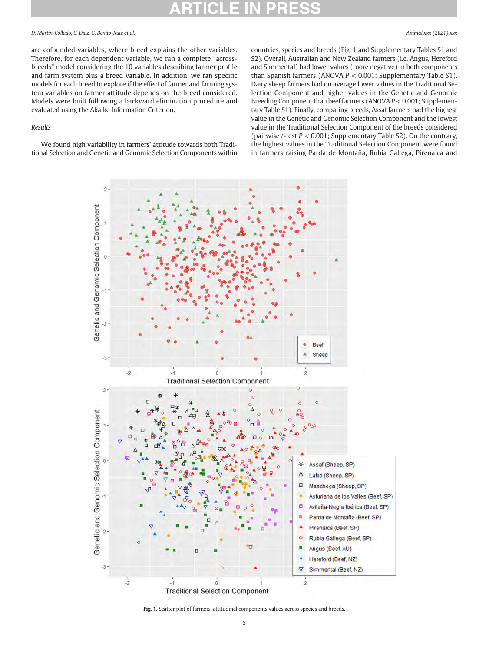are cofounded variables, where breed explains the other variables. Therefore, for each dependent variable, we ran a complete "acrossbreeds" model considering the 10 variables describing farmer profile and farm system plus a breed variable. In addition, we ran specific models for each breed to explore if the effect of farmer and farming system variables on farmer attitude depends on the breed considered. Models were built following a backward elimination procedure and evaluated using the Akaike Information Criterion.

#### Results

We found high variability in farmers' attitude towards both Traditional Selection and Genetic and Genomic Selection Components within countries, species and breeds (Fig. 1 and Supplementary Tables S1 and S2). Overall, Australian and New Zealand farmers (i.e. Angus, Hereford and Simmental) had lower values (more negative) in both components than Spanish farmers (ANOVA  $P < 0.001$ ; Supplementary Table S1). Dairy sheep farmers had on average lower values in the Traditional Selection Component and higher values in the Genetic and Genomic Breeding Component than beef farmers (ANOVA P < 0.001; Supplementary Table S1). Finally, comparing breeds, Assaf farmers had the highest value in the Genetic and Genomic Selection Component and the lowest value in the Traditional Selection Component of the breeds considered (pairwise *t*-test  $P < 0.001$ ; Supplementary Table S2). On the contrary, the highest values in the Traditional Selection Component were found in farmers raising Parda de Montaña, Rubia Gallega, Pirenaica and



#### Fig. 1. Scatter plot of farmers' attitudinal components values across species and breeds.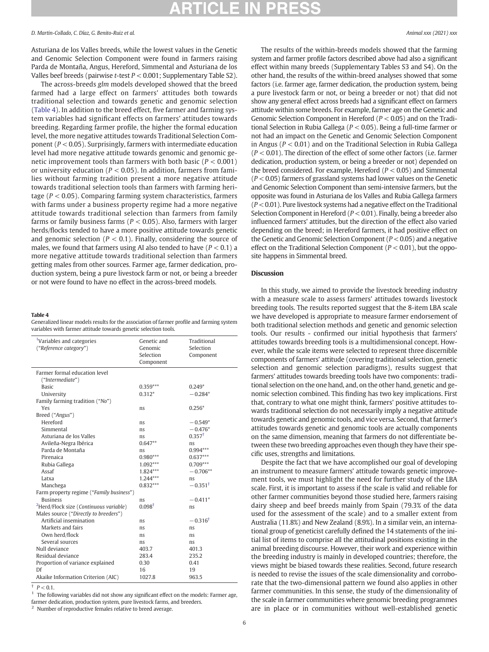Asturiana de los Valles breeds, while the lowest values in the Genetic and Genomic Selection Component were found in farmers raising Parda de Montaña, Angus, Hereford, Simmental and Asturiana de los Valles beef breeds (pairwise  $t$ -test  $P < 0.001$ ; Supplementary Table S2).

The across-breeds glm models developed showed that the breed farmed had a large effect on farmers' attitudes both towards traditional selection and towards genetic and genomic selection (Table 4). In addition to the breed effect, five farmer and farming system variables had significant effects on farmers' attitudes towards breeding. Regarding farmer profile, the higher the formal education level, the more negative attitudes towards Traditional Selection Component ( $P < 0.05$ ). Surprisingly, farmers with intermediate education level had more negative attitude towards genomic and genomic genetic improvement tools than farmers with both basic ( $P < 0.001$ ) or university education ( $P < 0.05$ ). In addition, farmers from families without farming tradition present a more negative attitude towards traditional selection tools than farmers with farming heritage ( $P < 0.05$ ). Comparing farming system characteristics, farmers with farms under a business property regime had a more negative attitude towards traditional selection than farmers from family farms or family business farms ( $P < 0.05$ ). Also, farmers with larger herds/flocks tended to have a more positive attitude towards genetic and genomic selection ( $P < 0.1$ ). Finally, considering the source of males, we found that farmers using AI also tended to have  $(P < 0.1)$  a more negative attitude towards traditional selection than farmers getting males from other sources. Farmer age, farmer dedication, production system, being a pure livestock farm or not, or being a breeder or not were found to have no effect in the across-breed models.

#### Table 4

Generalized linear models results for the association of farmer profile and farming system variables with farmer attitude towards genetic selection tools.

| <sup>1</sup> Variables and categories<br>("Reference category") | Genetic and<br>Genomic<br>Selection<br>Component | Traditional<br>Selection<br>Component |
|-----------------------------------------------------------------|--------------------------------------------------|---------------------------------------|
| Farmer formal education level                                   |                                                  |                                       |
| ("Intermediate")                                                |                                                  |                                       |
| <b>Basic</b>                                                    | $0.359***$                                       | $0.249*$                              |
| University                                                      | $0.312*$                                         | $-0.284*$                             |
| Family farming tradition ("No")                                 |                                                  |                                       |
| Yes                                                             | ns                                               | $0.256*$                              |
| Breed ("Angus")                                                 |                                                  |                                       |
| Hereford                                                        | ns.                                              | $-0.549*$                             |
| Simmental                                                       | ns                                               | $-0.476*$                             |
| Asturiana de los Valles                                         | ns                                               | $0.357^{\dagger}$                     |
| Avileña-Negra Ibérica                                           | $0.647**$                                        | ns.                                   |
| Parda de Montaña                                                | ns                                               | $0.994***$                            |
| Pirenaica                                                       | $0.980***$                                       | $0.637***$                            |
| Rubia Gallega                                                   | 1.092***                                         | $0.709***$                            |
| Assaf                                                           | 1.824***                                         | $-0.706**$                            |
| Latxa                                                           | $1.244***$                                       | ns                                    |
| Manchega                                                        | $0.832***$                                       | $-0.351^{\dagger}$                    |
| Farm property regime ("Family business")                        |                                                  |                                       |
| <b>Business</b>                                                 | ns                                               | $-0.411*$                             |
| <sup>2</sup> Herd/Flock size (Continuous variable)              | $0.098^{\dagger}$                                | ns                                    |
| Males source ("Directly to breeders")                           |                                                  |                                       |
| Artificial insemination                                         | ns                                               | $-0.316^{\dagger}$                    |
| Markets and fairs                                               | ns                                               | ns                                    |
| Own herd/flock                                                  | ns.                                              | ns                                    |
| Several sources                                                 | ns.                                              | ns.                                   |
| Null deviance                                                   | 403.7                                            | 401.3                                 |
| Residual deviance                                               | 283.4                                            | 235.2                                 |
| Proportion of variance explained                                | 0.30                                             | 0.41                                  |
| Df                                                              | 16                                               | 19                                    |
| Akaike Information Criterion (AIC)                              | 1027.8                                           | 963.5                                 |

 $P < 0.1$ .

 $1$  The following variables did not show any significant effect on the models: Farmer age, farmer dedication, production system, pure livestock farms, and breeders.

<sup>2</sup> Number of reproductive females relative to breed average.

The results of the within-breeds models showed that the farming system and farmer profile factors described above had also a significant effect within many breeds (Supplementary Tables S3 and S4). On the other hand, the results of the within-breed analyses showed that some factors (i.e. farmer age, farmer dedication, the production system, being a pure livestock farm or not, or being a breeder or not) that did not show any general effect across breeds had a significant effect on farmers attitude within some breeds. For example, farmer age on the Genetic and Genomic Selection Component in Hereford ( $P < 0.05$ ) and on the Traditional Selection in Rubia Gallega (P < 0.05). Being a full-time farmer or not had an impact on the Genetic and Genomic Selection Component in Angus ( $P < 0.01$ ) and on the Traditional Selection in Rubia Gallega  $(P < 0.01)$ . The direction of the effect of some other factors (i.e. farmer dedication, production system, or being a breeder or not) depended on the breed considered. For example, Hereford ( $P < 0.05$ ) and Simmental  $(P < 0.05)$  farmers of grassland systems had lower values on the Genetic and Genomic Selection Component than semi-intensive farmers, but the opposite was found in Asturiana de los Valles and Rubia Gallega farmers  $(P < 0.01)$ . Pure livestock systems had a negative effect on the Traditional Selection Component in Hereford ( $P < 0.01$ ). Finally, being a breeder also influenced farmers' attitudes, but the direction of the effect also varied depending on the breed; in Hereford farmers, it had positive effect on the Genetic and Genomic Selection Component ( $P < 0.05$ ) and a negative effect on the Traditional Selection Component ( $P < 0.01$ ), but the opposite happens in Simmental breed.

## **Discussion**

In this study, we aimed to provide the livestock breeding industry with a measure scale to assess farmers' attitudes towards livestock breeding tools. The results reported suggest that the 8-item LBA scale we have developed is appropriate to measure farmer endorsement of both traditional selection methods and genetic and genomic selection tools. Our results - confirmed our initial hypothesis that farmers' attitudes towards breeding tools is a multidimensional concept. However, while the scale items were selected to represent three discernible components of farmers' attitude (covering traditional selection, genetic selection and genomic selection paradigms), results suggest that farmers' attitudes towards breeding tools have two components: traditional selection on the one hand, and, on the other hand, genetic and genomic selection combined. This finding has two key implications. First that, contrary to what one might think, farmers' positive attitudes towards traditional selection do not necessarily imply a negative attitude towards genetic and genomic tools, and vice versa. Second, that farmer's attitudes towards genetic and genomic tools are actually components on the same dimension, meaning that farmers do not differentiate between these two breeding approaches even though they have their specific uses, strengths and limitations.

Despite the fact that we have accomplished our goal of developing an instrument to measure farmers' attitude towards genetic improvement tools, we must highlight the need for further study of the LBA scale. First, it is important to assess if the scale is valid and reliable for other farmer communities beyond those studied here, farmers raising dairy sheep and beef breeds mainly from Spain (79.3% of the data used for the assessment of the scale) and to a smaller extent from Australia (11.8%) and New Zealand (8.9%). In a similar vein, an international group of geneticist carefully defined the 14 statements of the initial list of items to comprise all the attitudinal positions existing in the animal breeding discourse. However, their work and experience within the breeding industry is mainly in developed countries; therefore, the views might be biased towards these realities. Second, future research is needed to revise the issues of the scale dimensionality and corroborate that the two-dimensional pattern we found also applies in other farmer communities. In this sense, the study of the dimensionality of the scale in farmer communities where genomic breeding programmes are in place or in communities without well-established genetic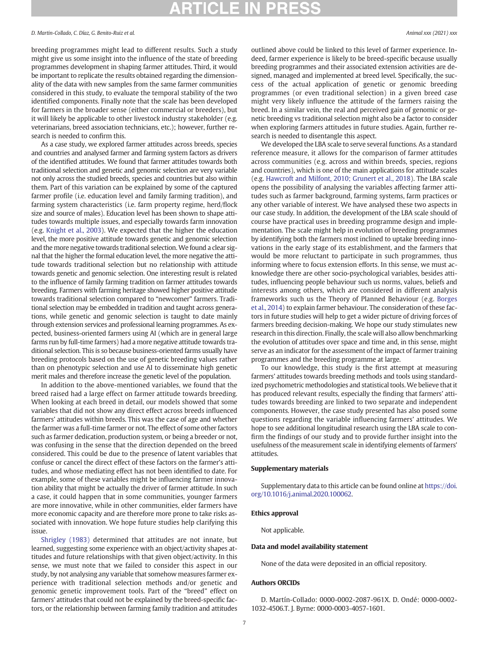## ICLE IN

#### D. Martin-Collado, C. Díaz, G. Benito-Ruiz et al. Animal xxx (2021) xxx

breeding programmes might lead to different results. Such a study might give us some insight into the influence of the state of breeding programmes development in shaping farmer attitudes. Third, it would be important to replicate the results obtained regarding the dimensionality of the data with new samples from the same farmer communities considered in this study, to evaluate the temporal stability of the two identified components. Finally note that the scale has been developed for farmers in the broader sense (either commercial or breeders), but it will likely be applicable to other livestock industry stakeholder (e.g. veterinarians, breed association technicians, etc.); however, further research is needed to confirm this.

As a case study, we explored farmer attitudes across breeds, species and countries and analysed farmer and farming system factors as drivers of the identified attitudes. We found that farmer attitudes towards both traditional selection and genetic and genomic selection are very variable not only across the studied breeds, species and countries but also within them. Part of this variation can be explained by some of the captured farmer profile (i.e. education level and family farming tradition), and farming system characteristics (i.e. farm property regime, herd/flock size and source of males). Education level has been shown to shape attitudes towards multiple issues, and especially towards farm innovation (e.g. [Knight et al., 2003](#page-7-0)). We expected that the higher the education level, the more positive attitude towards genetic and genomic selection and the more negative towards traditional selection.We found a clear signal that the higher the formal education level, the more negative the attitude towards traditional selection but no relationship with attitude towards genetic and genomic selection. One interesting result is related to the influence of family farming tradition on farmer attitudes towards breeding. Farmers with farming heritage showed higher positive attitude towards traditional selection compared to "newcomer" farmers. Traditional selection may be embedded in tradition and taught across generations, while genetic and genomic selection is taught to date mainly through extension services and professional learning programmes. As expected, business-oriented farmers using AI (which are in general large farms run by full-time farmers) had a more negative attitude towards traditional selection. This is so because business-oriented farms usually have breeding protocols based on the use of genetic breeding values rather than on phenotypic selection and use AI to disseminate high genetic merit males and therefore increase the genetic level of the population.

In addition to the above-mentioned variables, we found that the breed raised had a large effect on farmer attitude towards breeding. When looking at each breed in detail, our models showed that some variables that did not show any direct effect across breeds influenced farmers' attitudes within breeds. This was the case of age and whether the farmer was a full-time farmer or not. The effect of some other factors such as farmer dedication, production system, or being a breeder or not, was confusing in the sense that the direction depended on the breed considered. This could be due to the presence of latent variables that confuse or cancel the direct effect of these factors on the farmer's attitudes, and whose mediating effect has not been identified to date. For example, some of these variables might be influencing farmer innovation ability that might be actually the driver of farmer attitude. In such a case, it could happen that in some communities, younger farmers are more innovative, while in other communities, elder farmers have more economic capacity and are therefore more prone to take risks associated with innovation. We hope future studies help clarifying this issue.

[Shrigley \(1983\)](#page-7-0) determined that attitudes are not innate, but learned, suggesting some experience with an object/activity shapes attitudes and future relationships with that given object/activity. In this sense, we must note that we failed to consider this aspect in our study, by not analysing any variable that somehow measures farmer experience with traditional selection methods and/or genetic and genomic genetic improvement tools. Part of the "breed" effect on farmers' attitudes that could not be explained by the breed-specific factors, or the relationship between farming family tradition and attitudes

outlined above could be linked to this level of farmer experience. Indeed, farmer experience is likely to be breed-specific because usually breeding programmes and their associated extension activities are designed, managed and implemented at breed level. Specifically, the success of the actual application of genetic or genomic breeding programmes (or even traditional selection) in a given breed case might very likely influence the attitude of the farmers raising the breed. In a similar vein, the real and perceived gain of genomic or genetic breeding vs traditional selection might also be a factor to consider when exploring farmers attitudes in future studies. Again, further research is needed to disentangle this aspect.

We developed the LBA scale to serve several functions. As a standard reference measure, it allows for the comparison of farmer attitudes across communities (e.g. across and within breeds, species, regions and countries), which is one of the main applications for attitude scales (e.g. [Hawcroft and Milfont, 2010; Grunert et al., 2018](#page-7-0)). The LBA scale opens the possibility of analysing the variables affecting farmer attitudes such as farmer background, farming systems, farm practices or any other variable of interest. We have analysed these two aspects in our case study. In addition, the development of the LBA scale should of course have practical uses in breeding programme design and implementation. The scale might help in evolution of breeding programmes by identifying both the farmers most inclined to uptake breeding innovations in the early stage of its establishment, and the farmers that would be more reluctant to participate in such programmes, thus informing where to focus extension efforts. In this sense, we must acknowledge there are other socio-psychological variables, besides attitudes, influencing people behaviour such us norms, values, beliefs and interests among others, which are considered in different analysis frameworks such us the Theory of Planned Behaviour (e.g. [Borges](#page-7-0) [et al., 2014\)](#page-7-0) to explain farmer behaviour. The consideration of these factors in future studies will help to get a wider picture of driving forces of farmers breeding decision-making. We hope our study stimulates new research in this direction. Finally, the scale will also allow benchmarking the evolution of attitudes over space and time and, in this sense, might serve as an indicator for the assessment of the impact of farmer training programmes and the breeding programme at large.

To our knowledge, this study is the first attempt at measuring farmers' attitudes towards breeding methods and tools using standardized psychometric methodologies and statistical tools.We believe that it has produced relevant results, especially the finding that farmers' attitudes towards breeding are linked to two separate and independent components. However, the case study presented has also posed some questions regarding the variable influencing farmers' attitudes. We hope to see additional longitudinal research using the LBA scale to confirm the findings of our study and to provide further insight into the usefulness of the measurement scale in identifying elements of farmers' attitudes.

#### Supplementary materials

Supplementary data to this article can be found online at [https://doi.](https://doi.org/10.1016/j.animal.2020.100062) [org/10.1016/j.animal.2020.100062](https://doi.org/10.1016/j.animal.2020.100062).

#### Ethics approval

Not applicable.

#### Data and model availability statement

None of the data were deposited in an official repository.

## Authors ORCIDs

D. Martín-Collado: 0000-0002-2087-961X. D. Ondé: 0000-0002- 1032-4506.T. J. Byrne: 0000-0003-4057-1601.